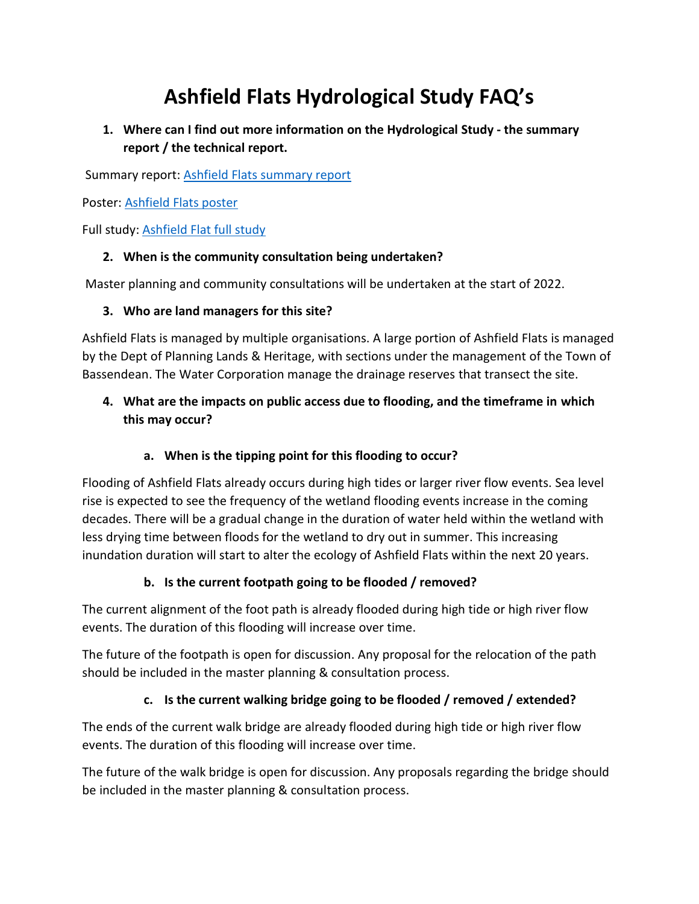# **Ashfield Flats Hydrological Study FAQ's**

**1. Where can I find out more information on the Hydrological Study - the summary report / the technical report.** 

Summary report: [Ashfield Flats summary report](https://dbca-prod.dbca.wa.gov.au/sites/default/files/2021-12/Ashfield%20Flats%20summary%20report.pdf)

Poster: [Ashfield Flats poster](https://dbca-prod.dbca.wa.gov.au/sites/default/files/2021-12/Ashfield%20Flats%20poster_0.pdf)

Full study: [Ashfield Flat full study](https://dbca-prod.dbca.wa.gov.au/sites/default/files/2021-12/Ashfield%20Flat%20full%20study.pdf)

#### **2. When is the community consultation being undertaken?**

Master planning and community consultations will be undertaken at the start of 2022.

#### **3. Who are land managers for this site?**

Ashfield Flats is managed by multiple organisations. A large portion of Ashfield Flats is managed by the Dept of Planning Lands & Heritage, with sections under the management of the Town of Bassendean. The Water Corporation manage the drainage reserves that transect the site.

# **4. What are the impacts on public access due to flooding, and the timeframe in which this may occur?**

## **a. When is the tipping point for this flooding to occur?**

Flooding of Ashfield Flats already occurs during high tides or larger river flow events. Sea level rise is expected to see the frequency of the wetland flooding events increase in the coming decades. There will be a gradual change in the duration of water held within the wetland with less drying time between floods for the wetland to dry out in summer. This increasing inundation duration will start to alter the ecology of Ashfield Flats within the next 20 years.

## **b. Is the current footpath going to be flooded / removed?**

The current alignment of the foot path is already flooded during high tide or high river flow events. The duration of this flooding will increase over time.

The future of the footpath is open for discussion. Any proposal for the relocation of the path should be included in the master planning & consultation process.

## **c. Is the current walking bridge going to be flooded / removed / extended?**

The ends of the current walk bridge are already flooded during high tide or high river flow events. The duration of this flooding will increase over time.

The future of the walk bridge is open for discussion. Any proposals regarding the bridge should be included in the master planning & consultation process.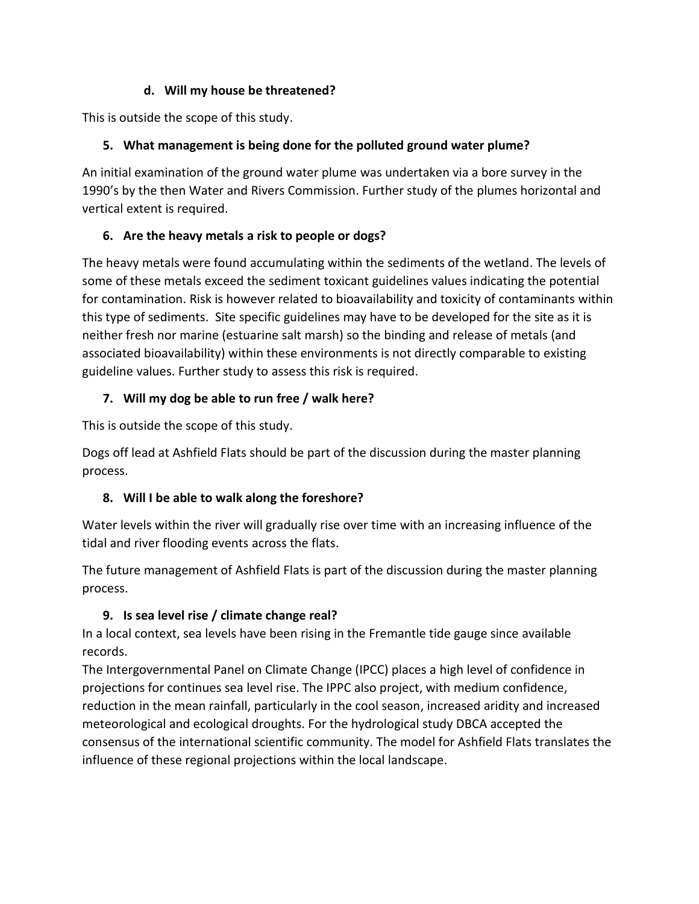#### **d. Will my house be threatened?**

This is outside the scope of this study.

## **5. What management is being done for the polluted ground water plume?**

An initial examination of the ground water plume was undertaken via a bore survey in the 1990's by the then Water and Rivers Commission. Further study of the plumes horizontal and vertical extent is required.

# **6. Are the heavy metals a risk to people or dogs?**

The heavy metals were found accumulating within the sediments of the wetland. The levels of some of these metals exceed the sediment toxicant guidelines values indicating the potential for contamination. Risk is however related to bioavailability and toxicity of contaminants within this type of sediments. Site specific guidelines may have to be developed for the site as it is neither fresh nor marine (estuarine salt marsh) so the binding and release of metals (and associated bioavailability) within these environments is not directly comparable to existing guideline values. Further study to assess this risk is required.

# **7. Will my dog be able to run free / walk here?**

This is outside the scope of this study.

Dogs off lead at Ashfield Flats should be part of the discussion during the master planning process.

# **8. Will I be able to walk along the foreshore?**

Water levels within the river will gradually rise over time with an increasing influence of the tidal and river flooding events across the flats.

The future management of Ashfield Flats is part of the discussion during the master planning process.

# **9. Is sea level rise / climate change real?**

In a local context, sea levels have been rising in the Fremantle tide gauge since available records.

The Intergovernmental Panel on Climate Change (IPCC) places a high level of confidence in projections for continues sea level rise. The IPPC also project, with medium confidence, reduction in the mean rainfall, particularly in the cool season, increased aridity and increased meteorological and ecological droughts. For the hydrological study DBCA accepted the consensus of the international scientific community. The model for Ashfield Flats translates the influence of these regional projections within the local landscape.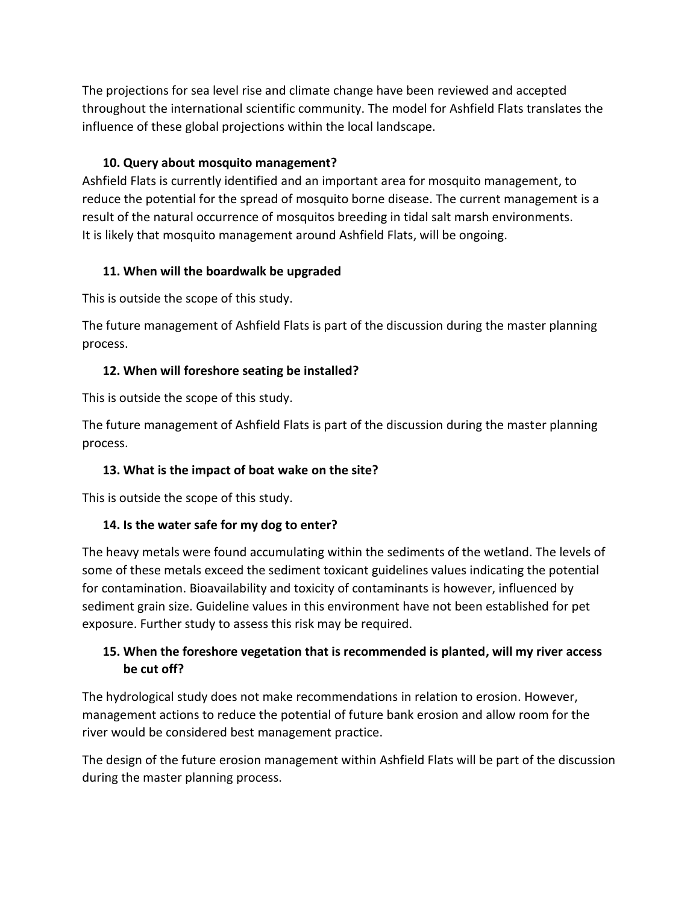The projections for sea level rise and climate change have been reviewed and accepted throughout the international scientific community. The model for Ashfield Flats translates the influence of these global projections within the local landscape.

#### **10. Query about mosquito management?**

Ashfield Flats is currently identified and an important area for mosquito management, to reduce the potential for the spread of mosquito borne disease. The current management is a result of the natural occurrence of mosquitos breeding in tidal salt marsh environments. It is likely that mosquito management around Ashfield Flats, will be ongoing.

#### **11. When will the boardwalk be upgraded**

This is outside the scope of this study.

The future management of Ashfield Flats is part of the discussion during the master planning process.

## **12. When will foreshore seating be installed?**

This is outside the scope of this study.

The future management of Ashfield Flats is part of the discussion during the master planning process.

## **13. What is the impact of boat wake on the site?**

This is outside the scope of this study.

## **14. Is the water safe for my dog to enter?**

The heavy metals were found accumulating within the sediments of the wetland. The levels of some of these metals exceed the sediment toxicant guidelines values indicating the potential for contamination. Bioavailability and toxicity of contaminants is however, influenced by sediment grain size. Guideline values in this environment have not been established for pet exposure. Further study to assess this risk may be required.

## **15. When the foreshore vegetation that is recommended is planted, will my river access be cut off?**

The hydrological study does not make recommendations in relation to erosion. However, management actions to reduce the potential of future bank erosion and allow room for the river would be considered best management practice.

The design of the future erosion management within Ashfield Flats will be part of the discussion during the master planning process.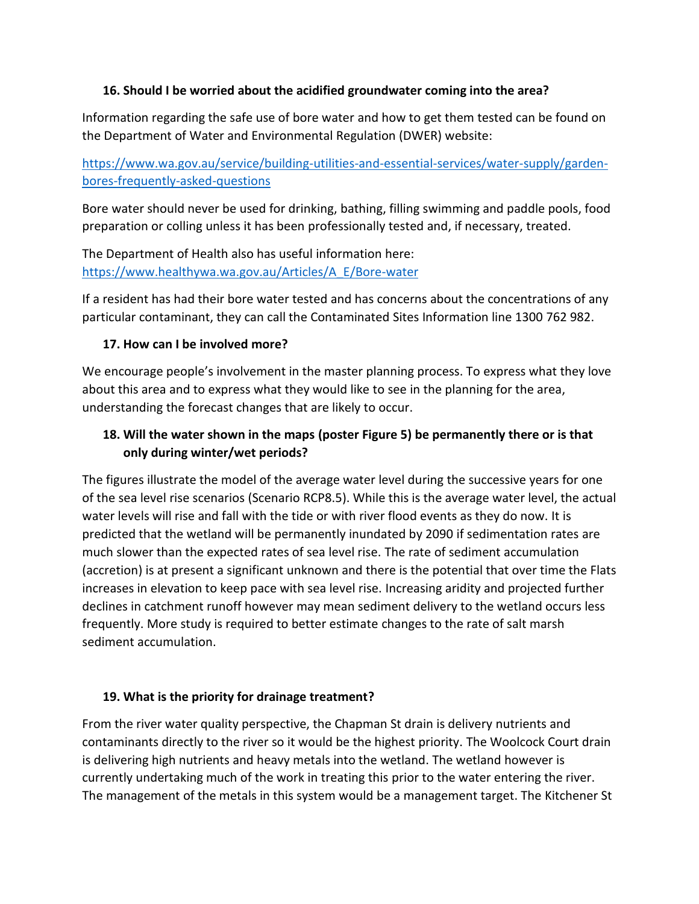#### **16. Should I be worried about the acidified groundwater coming into the area?**

Information regarding the safe use of bore water and how to get them tested can be found on the Department of Water and Environmental Regulation (DWER) website:

[https://www.wa.gov.au/service/building-utilities-and-essential-services/water-supply/garden](https://www.wa.gov.au/service/building-utilities-and-essential-services/water-supply/garden-bores-frequently-asked-questions)[bores-frequently-asked-questions](https://www.wa.gov.au/service/building-utilities-and-essential-services/water-supply/garden-bores-frequently-asked-questions)

Bore water should never be used for drinking, bathing, filling swimming and paddle pools, food preparation or colling unless it has been professionally tested and, if necessary, treated.

The Department of Health also has useful information here: [https://www.healthywa.wa.gov.au/Articles/A\\_E/Bore-water](https://www.healthywa.wa.gov.au/Articles/A_E/Bore-water)

If a resident has had their bore water tested and has concerns about the concentrations of any particular contaminant, they can call the Contaminated Sites Information line 1300 762 982.

#### **17. How can I be involved more?**

We encourage people's involvement in the master planning process. To express what they love about this area and to express what they would like to see in the planning for the area, understanding the forecast changes that are likely to occur.

#### **18. Will the water shown in the maps (poster Figure 5) be permanently there or is that only during winter/wet periods?**

The figures illustrate the model of the average water level during the successive years for one of the sea level rise scenarios (Scenario RCP8.5). While this is the average water level, the actual water levels will rise and fall with the tide or with river flood events as they do now. It is predicted that the wetland will be permanently inundated by 2090 if sedimentation rates are much slower than the expected rates of sea level rise. The rate of sediment accumulation (accretion) is at present a significant unknown and there is the potential that over time the Flats increases in elevation to keep pace with sea level rise. Increasing aridity and projected further declines in catchment runoff however may mean sediment delivery to the wetland occurs less frequently. More study is required to better estimate changes to the rate of salt marsh sediment accumulation.

#### **19. What is the priority for drainage treatment?**

From the river water quality perspective, the Chapman St drain is delivery nutrients and contaminants directly to the river so it would be the highest priority. The Woolcock Court drain is delivering high nutrients and heavy metals into the wetland. The wetland however is currently undertaking much of the work in treating this prior to the water entering the river. The management of the metals in this system would be a management target. The Kitchener St